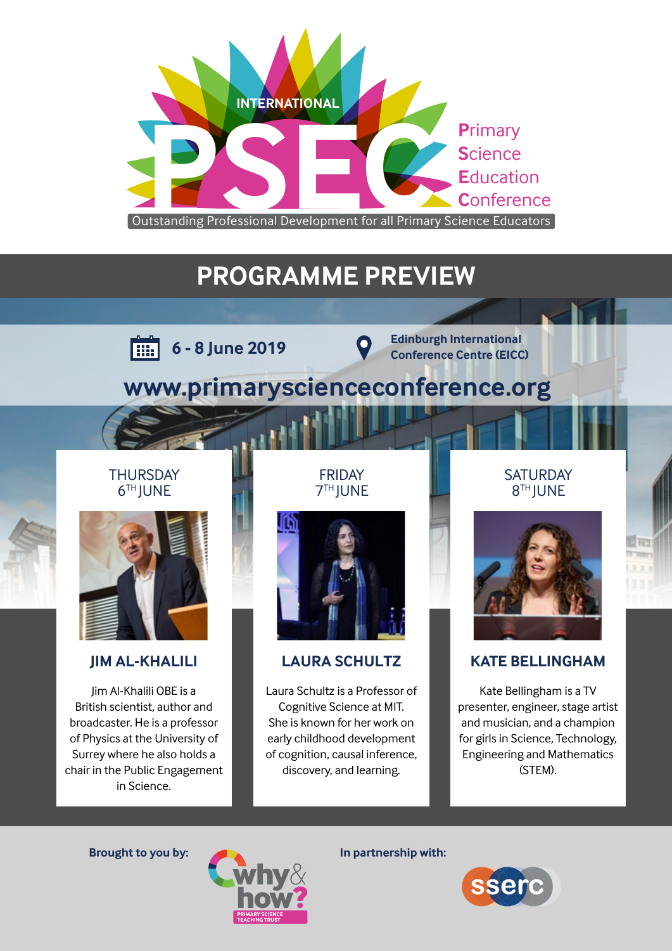

# **PROGRAMME PREVIEW**



**Edinburgh International Conference Centre (EICC) Conference Centre (EICC)** 

# **[www.primaryscienceconference.org](https://primaryscienceconference.org/)**

### **THURSDAY 6TH JUNE**



### **JIM AL-KHALILI**

Jim Al-Khalili OBE is a British scientist, author and broadcaster. He is a professor of Physics at the University of Surrey where he also holds a chair in the Public Engagement in Science.

FRIDAY 7TH JUNE



## **LAURA SCHULTZ**

Laura Schultz is a Professor of Cognitive Science at MIT. She is known for her work on early childhood development of cognition, causal inference, discovery, and learning.

### **SATURDAY** 8TH JUNE



## **KATE BELLINGHAM**

Kate Bellingham is a TV presenter, engineer, stage artist and musician, and a champion for girls in Science, Technology, Engineering and Mathematics (STEM).



**Brought to you by: In partnership with:**

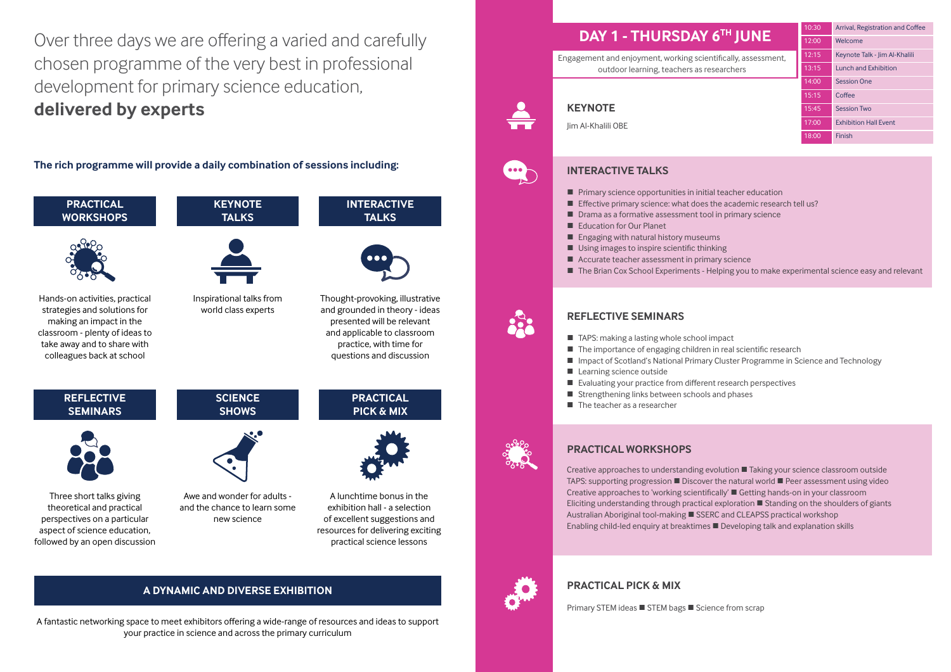# **DAY 1 - THURSDAY 6TH JUNE**

Engagement and enjoyment, working scientifically, assessment, outdoor learning, teachers as researchers

Over three days we are offering a varied and carefully chosen programme of the very best in professional development for primary science education, **delivered by experts**

**The rich programme will provide a daily combination of sessions including:**





## Jim Al-Khalili OBE



## **INTERACTIVE TALKS**

- 
- $\blacksquare$  Primary science opportunities in initial teacher education **Effective primary science: what does the academic research tell us?** ■ Drama as a formative assessment tool in primary science
- 
- Education for Our Planet
- **Engaging with natural history museums**
- Using images to inspire scientific thinking
- Accurate teacher assessment in primary science
- **The Brian Cox School Experiments Helping you to make experimental science easy and relevant**

## **REFLECTIVE SEMINARS**

- TAPS: making a lasting whole school impact
- The importance of engaging children in real scientific research
- **Impact of Scotland's National Primary Cluster Programme in Science and Technology**
- **Learning science outside**
- Evaluating your practice from different research perspectives
- $\blacksquare$  Strengthening links between schools and phases
- The teacher as a researcher



## **PRACTICAL WORKSHOPS**

Creative approaches to understanding evolution  $\blacksquare$  Taking your science classroom outside TAPS: supporting progression  $\blacksquare$  Discover the natural world  $\blacksquare$  Peer assessment using video Creative approaches to 'working scientifically' **Quantity Getting hands-on in your classroom** Eliciting understanding through practical exploration  $\blacksquare$  Standing on the shoulders of giants Australian Aboriginal tool-making SSERC and CLEAPSS practical workshop Enabling child-led enquiry at breaktimes  $\blacksquare$  Developing talk and explanation skills



## **PRACTICAL PICK & MIX**

Primary STEM ideas ■ STEM bags ■ Science from scrap

| 10:30 | Arrival, Registration and Coffee |  |  |
|-------|----------------------------------|--|--|
| 12:00 | Welcome                          |  |  |
| 12:15 | Keynote Talk - Jim Al-Khalili    |  |  |
| 13:15 | Lunch and Exhibition             |  |  |
| 14:00 | <b>Session One</b>               |  |  |
| 15:15 | Coffee                           |  |  |
| 15:45 | <b>Session Two</b>               |  |  |
| 17:00 | <b>Exhibition Hall Event</b>     |  |  |
| 18:00 | Finish                           |  |  |

- 
- 

## **A DYNAMIC AND DIVERSE EXHIBITION**

A fantastic networking space to meet exhibitors offering a wide-range of resources and ideas to support your practice in science and across the primary curriculum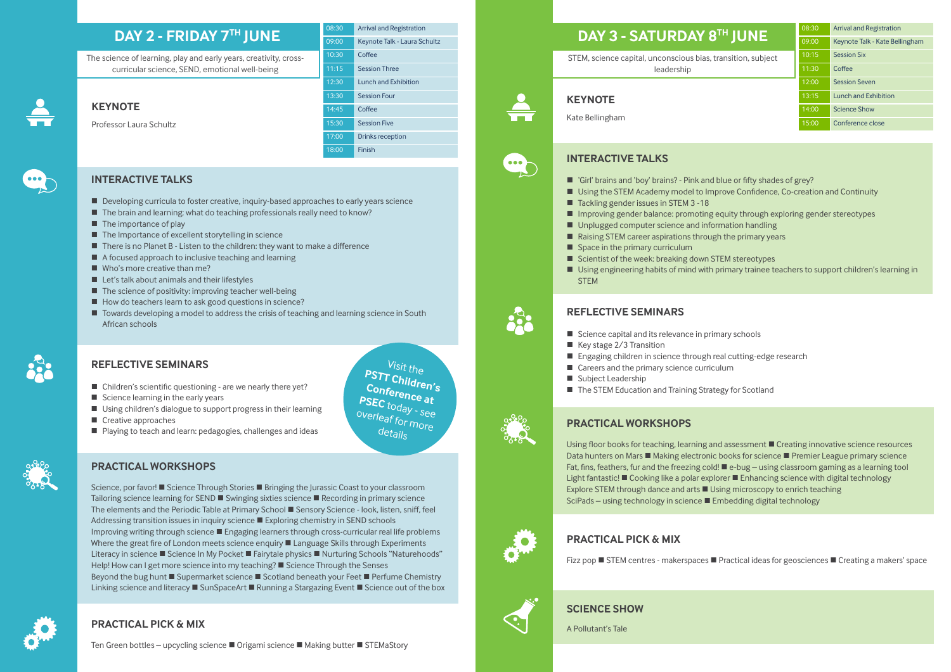- Developing curricula to foster creative, inquiry-based approaches to early years science
- The brain and learning: what do teaching professionals really need to know?
- $\blacksquare$  The importance of play
- $\blacksquare$  The Importance of excellent storytelling in science
- $\blacksquare$  There is no Planet B Listen to the children: they want to make a difference
- A focused approach to inclusive teaching and learning
- Who's more creative than me?
- $\blacksquare$  Let's talk about animals and their lifestyles
- $\blacksquare$  The science of positivity: improving teacher well-being
- $\blacksquare$  How do teachers learn to ask good questions in science?
- Towards developing a model to address the crisis of teaching and learning science in South African schools



## **KEYNOTE**

## Professor Laura Schultz



## **INTERACTIVE TALKS**

### **REFLECTIVE SEMINARS**

- $\blacksquare$  Children's scientific questioning are we nearly there yet?
- $\blacksquare$  Science learning in the early years
- Using children's dialogue to support progress in their learning
- Creative approaches
- Playing to teach and learn: pedagogies, challenges and ideas

## **PRACTICAL WORKSHOPS**

Science, por favor!  $\blacksquare$  Science Through Stories  $\blacksquare$  Bringing the Jurassic Coast to your classroom Tailoring science learning for SEND  $\blacksquare$  Swinging sixties science  $\blacksquare$  Recording in primary science The elements and the Periodic Table at Primary School **Sensory Science - look, listen, sniff, feel** Addressing transition issues in inquiry science  $\blacksquare$  Exploring chemistry in SEND schools Improving writing through science  $\blacksquare$  Engaging learners through cross-curricular real life problems Where the great fire of London meets science enquiry  $\blacksquare$  Language Skills through Experiments Literacy in science ■ Science In My Pocket ■ Fairytale physics ■ Nurturing Schools "Naturehoods" Help! How can I get more science into my teaching?  $\blacksquare$  Science Through the Senses Beyond the bug hunt  $\blacksquare$  Supermarket science  $\blacksquare$  Scotland beneath your Feet  $\blacksquare$  Perfume Chemistry Linking science and literacy **E** SunSpaceArt **E** Running a Stargazing Event **E** Science out of the box STEM, science capital, unconscious bias, tr leadership



 $\bullet$ 

## **PRACTICAL PICK & MIX**

Ten Green bottles – upcycling science ■ Origami science ■ Making butter ■ STEMaStory

# **DAY 2 - FRIDAY 7TH JUNE**

The science of learning, play and early years, creativity, crosscurricular science, SEND, emotional well-being

> Visit the **PSTT Children's Conference at PSEC** today - see overleaf for more details

## **DAY 3 - SATURDAY 8**

## **KEYNOTE**

Kate Bellingham

## **INTERACTIVE TALKS**

- 'Girl' brains and 'boy' brains? Pink and blue or fifty shades of grey? ■ Using the STEM Academy model to Improve Confidence, Co-creation and Continuity
- 
- Tackling gender issues in STEM 3 -18
- 
- 
- Improving gender balance: promoting equity through exploring gender stereotypes ■ Unplugged computer science and information handling  $\blacksquare$  Raising STEM career aspirations through the primary years
- $\blacksquare$  Space in the primary curriculum
- $\blacksquare$  Scientist of the week: breaking down STEM stereotypes Using engineering habits of mind with primary trainee teachers to support children's learning in **STEM**

# **REFLECTIVE SEMINARS**

- $\blacksquare$  Science capital and its relevance in primary schools
- $\blacksquare$  Key stage 2/3 Transition
- Engaging children in science through real cutting-edge research
- Careers and the primary science curriculum
- Subject Leadership
- The STEM Education and Training Strategy for Scotland

## **PRACTICAL WORKSHOPS**

Explore STEM through dance and arts  $\blacksquare$  Using microscopy to enrich teaching SciPads – using technology in science ■ Embedding digital technology



## **PRACTICAL PICK & MIX**

Fizz pop  $\blacksquare$  STEM centres - makerspaces  $\blacksquare$  Practical ideas for geosciences  $\blacksquare$  Creating a makers' space



A Pollutant's Tale

## **SCIENCE SHOW**

| 08:30 | <b>Arrival and Registration</b> |  |
|-------|---------------------------------|--|
| 09:00 | Keynote Talk - Laura Schultz    |  |
| 10:30 | Coffee                          |  |
| 11:15 | <b>Session Three</b>            |  |
| 12:30 | Lunch and Exhibition            |  |
| 13:30 | <b>Session Four</b>             |  |
| 14:45 | Coffee                          |  |
| 15:30 | <b>Session Five</b>             |  |
| 17:00 | Drinks reception                |  |
| 18:00 | Finish                          |  |

|                    | 08:30 | <b>Arrival and Registration</b> |
|--------------------|-------|---------------------------------|
| <sup>TH</sup> JUNE | 09:00 | Keynote Talk - Kate Bellingham  |
| ansition, subject  | 10:15 | <b>Session Six</b>              |
|                    | 11:30 | Coffee                          |
|                    | 12:00 | <b>Session Seven</b>            |
|                    | 13:15 | <b>Lunch and Exhibition</b>     |
|                    | 14:00 | <b>Science Show</b>             |
|                    | 15:00 | Conference close                |
|                    |       |                                 |

- 
- 
- 
- Using floor books for teaching, learning and assessment **C** Creating innovative science resources Data hunters on Mars  $\blacksquare$  Making electronic books for science  $\blacksquare$  Premier League primary science Fat, fins, feathers, fur and the freezing cold!  $\blacksquare$  e-bug – using classroom gaming as a learning tool Light fantastic!  $\blacksquare$  Cooking like a polar explorer  $\blacksquare$  Enhancing science with digital technology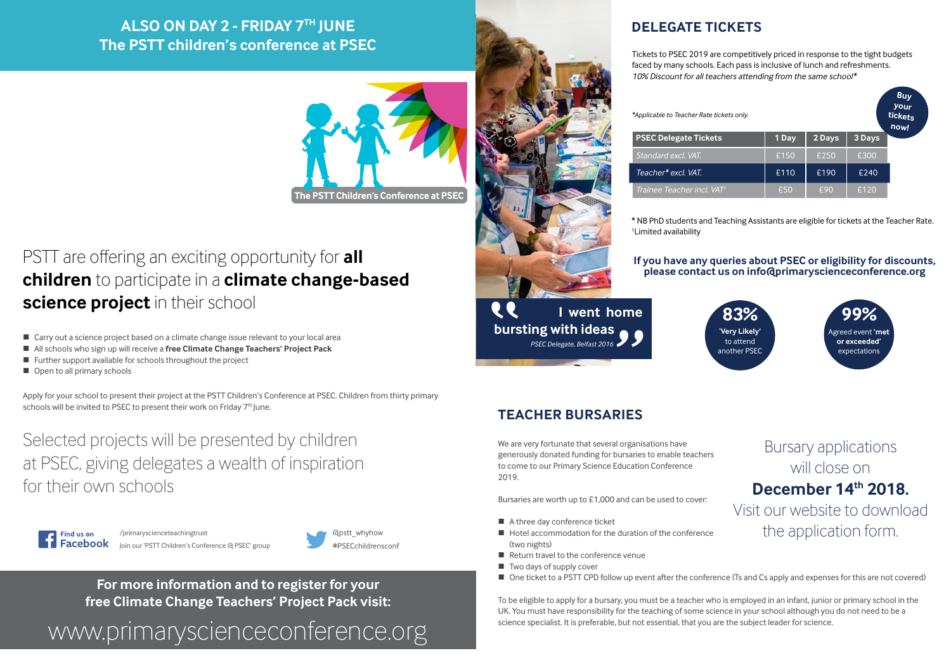## **If you have any queries about PSEC or eligibility for discounts, please contact us on [info@primaryscienceconference.org](mailto:info%40primaryscienceconference.org?subject=PSEC%20Query)**

Tickets to PSEC 2019 are competitively priced in response to the tight budgets faced by many schools. Each pass is inclusive of lunch and refreshments. *10% Discount for all teachers attending from the same school\**

**DELEGATE TICKETS**

 **I went home bursting with ideas EEE ng with ideas 99** 

\* NB PhD students and Teaching Assistants are eligible for tickets at the Teacher Rate.

1 Limited availability

*\*Applicable to Teacher Rate tickets only.*





We are very fortunate that several organisations have generously donated funding for bursaries to enable teachers to come to our Primary Science Education Conference 2019.

Bursaries are worth up to £1,000 and can be used to cover:

- A three day conference ticket
- $\blacksquare$  Hotel accommodation for the duration of the conference (two nights)
- Return travel to the conference venue
- $\blacksquare$  Two days of supply cover
- One ticket to a PSTT CPD follow up event after the conference (Ts and Cs apply and expenses for this are not covered)

# PSTT are offering an exciting opportunity for **all children** to participate in a **climate change-based science project** in their school

- Carry out a science project based on a climate change issue relevant to your local area
- All schools who sign up will receive a **free Climate Change Teachers' Project Pack**
- $\blacksquare$  Further support available for schools throughout the project
- Open to all primary schools

Apply for your school to present their project at the PSTT Children's Conference at PSEC. Children from thirty primary schools will be invited to PSEC to present their work on Friday 7<sup>th</sup> June.

> To be eligible to apply for a bursary, you must be a teacher who is employed in an infant, junior or primary school in the UK. You must have responsibility for the teaching of some science in your school although you do not need to be a science specialist. It is preferable, but not essential, that you are the subject leader for science.

## **TEACHER BURSARIES**

# Bursary applications will close on **December 14th 2018.** [Visit our website to download](https://primaryscienceconference.org/bursaries)

the application form.

**For more information and to register for your free Climate Change Teachers' Project Pack visit:**

[www.primaryscienceconference.org](https://primaryscienceconference.org/childrens-conference)



Selected projects will be presented by children at PSEC, giving delegates a wealth of inspiration for their own schools



# **ALSO ON DAY 2 - FRIDAY 7TH JUNE The PSTT children's conference at PSEC**





/primaryscienceteachingtrust [Join our 'PSTT Children's Conference @ PSEC' group](https://www.facebook.com/primaryscienceteachingtrust/)